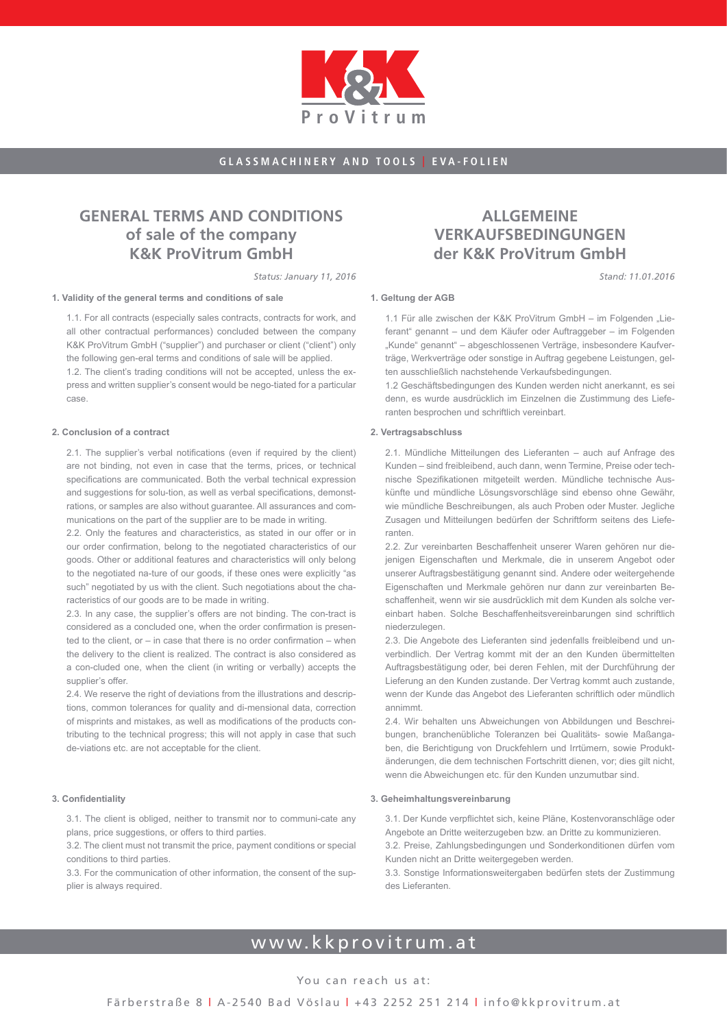

## **General terms and conditions of sale of the company K&K ProVitrum GmbH**

*Status: January 11, 2016*

#### **1. Validity of the general terms and conditions of sale**

1.1. For all contracts (especially sales contracts, contracts for work, and all other contractual performances) concluded between the company K&K ProVitrum GmbH ("supplier") and purchaser or client ("client") only the following gen-eral terms and conditions of sale will be applied.

1.2. The client's trading conditions will not be accepted, unless the express and written supplier's consent would be nego-tiated for a particular case.

#### **2. Conclusion of a contract**

2.1. The supplier's verbal notifications (even if required by the client) are not binding, not even in case that the terms, prices, or technical specifications are communicated. Both the verbal technical expression and suggestions for solu-tion, as well as verbal specifications, demonstrations, or samples are also without guarantee. All assurances and communications on the part of the supplier are to be made in writing.

2.2. Only the features and characteristics, as stated in our offer or in our order confirmation, belong to the negotiated characteristics of our goods. Other or additional features and characteristics will only belong to the negotiated na-ture of our goods, if these ones were explicitly "as such" negotiated by us with the client. Such negotiations about the characteristics of our goods are to be made in writing.

2.3. In any case, the supplier's offers are not binding. The con-tract is considered as a concluded one, when the order confirmation is presented to the client, or – in case that there is no order confirmation – when the delivery to the client is realized. The contract is also considered as a con-cluded one, when the client (in writing or verbally) accepts the supplier's offer.

2.4. We reserve the right of deviations from the illustrations and descriptions, common tolerances for quality and di-mensional data, correction of misprints and mistakes, as well as modifications of the products contributing to the technical progress; this will not apply in case that such de-viations etc. are not acceptable for the client.

#### **3. Confidentiality**

3.1. The client is obliged, neither to transmit nor to communi-cate any plans, price suggestions, or offers to third parties.

3.2. The client must not transmit the price, payment conditions or special conditions to third parties.

3.3. For the communication of other information, the consent of the supplier is always required.

## **Allgemeine Verkaufsbedingungen der K&K ProVitrum GmbH**

*Stand: 11.01.2016*

#### **1. Geltung der AGB**

1.1 Für alle zwischen der K&K ProVitrum GmbH – im Folgenden "Lieferant" genannt – und dem Käufer oder Auftraggeber – im Folgenden "Kunde" genannt" – abgeschlossenen Verträge, insbesondere Kaufverträge, Werkverträge oder sonstige in Auftrag gegebene Leistungen, gelten ausschließlich nachstehende Verkaufsbedingungen.

1.2 Geschäftsbedingungen des Kunden werden nicht anerkannt, es sei denn, es wurde ausdrücklich im Einzelnen die Zustimmung des Lieferanten besprochen und schriftlich vereinbart.

#### **2. Vertragsabschluss**

2.1. Mündliche Mitteilungen des Lieferanten – auch auf Anfrage des Kunden – sind freibleibend, auch dann, wenn Termine, Preise oder technische Spezifikationen mitgeteilt werden. Mündliche technische Auskünfte und mündliche Lösungsvorschläge sind ebenso ohne Gewähr, wie mündliche Beschreibungen, als auch Proben oder Muster. Jegliche Zusagen und Mitteilungen bedürfen der Schriftform seitens des Lieferanten.

2.2. Zur vereinbarten Beschaffenheit unserer Waren gehören nur diejenigen Eigenschaften und Merkmale, die in unserem Angebot oder unserer Auftragsbestätigung genannt sind. Andere oder weitergehende Eigenschaften und Merkmale gehören nur dann zur vereinbarten Beschaffenheit, wenn wir sie ausdrücklich mit dem Kunden als solche vereinbart haben. Solche Beschaffenheitsvereinbarungen sind schriftlich niederzulegen.

2.3. Die Angebote des Lieferanten sind jedenfalls freibleibend und unverbindlich. Der Vertrag kommt mit der an den Kunden übermittelten Auftragsbestätigung oder, bei deren Fehlen, mit der Durchführung der Lieferung an den Kunden zustande. Der Vertrag kommt auch zustande, wenn der Kunde das Angebot des Lieferanten schriftlich oder mündlich annimmt.

2.4. Wir behalten uns Abweichungen von Abbildungen und Beschreibungen, branchenübliche Toleranzen bei Qualitäts- sowie Maßangaben, die Berichtigung von Druckfehlern und Irrtümern, sowie Produktänderungen, die dem technischen Fortschritt dienen, vor; dies gilt nicht, wenn die Abweichungen etc. für den Kunden unzumutbar sind.

#### **3. Geheimhaltungsvereinbarung**

3.1. Der Kunde verpflichtet sich, keine Pläne, Kostenvoranschläge oder Angebote an Dritte weiterzugeben bzw. an Dritte zu kommunizieren. 3.2. Preise, Zahlungsbedingungen und Sonderkonditionen dürfen vom

Kunden nicht an Dritte weitergegeben werden. 3.3. Sonstige Informationsweitergaben bedürfen stets der Zustimmung

des Lieferanten.

# www.kkprovitrum.at

### You can reach us at: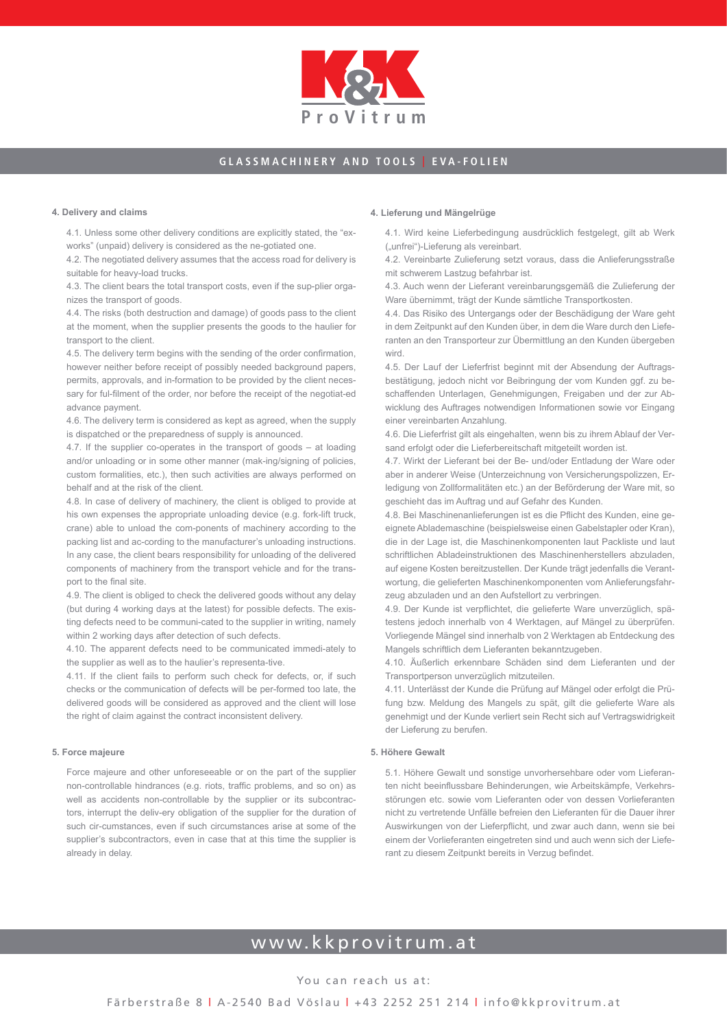

#### **4. Delivery and claims**

4.1. Unless some other delivery conditions are explicitly stated, the "exworks" (unpaid) delivery is considered as the ne-gotiated one.

4.2. The negotiated delivery assumes that the access road for delivery is suitable for heavy-load trucks.

4.3. The client bears the total transport costs, even if the sup-plier organizes the transport of goods.

4.4. The risks (both destruction and damage) of goods pass to the client at the moment, when the supplier presents the goods to the haulier for transport to the client.

4.5. The delivery term begins with the sending of the order confirmation, however neither before receipt of possibly needed background papers, permits, approvals, and in-formation to be provided by the client necessary for ful-filment of the order, nor before the receipt of the negotiat-ed advance payment.

4.6. The delivery term is considered as kept as agreed, when the supply is dispatched or the preparedness of supply is announced.

4.7. If the supplier co-operates in the transport of goods – at loading and/or unloading or in some other manner (mak-ing/signing of policies, custom formalities, etc.), then such activities are always performed on behalf and at the risk of the client.

4.8. In case of delivery of machinery, the client is obliged to provide at his own expenses the appropriate unloading device (e.g. fork-lift truck, crane) able to unload the com-ponents of machinery according to the packing list and ac-cording to the manufacturer's unloading instructions. In any case, the client bears responsibility for unloading of the delivered components of machinery from the transport vehicle and for the transport to the final site.

4.9. The client is obliged to check the delivered goods without any delay (but during 4 working days at the latest) for possible defects. The existing defects need to be communi-cated to the supplier in writing, namely within 2 working days after detection of such defects.

4.10. The apparent defects need to be communicated immedi-ately to the supplier as well as to the haulier's representa-tive.

4.11. If the client fails to perform such check for defects, or, if such checks or the communication of defects will be per-formed too late, the delivered goods will be considered as approved and the client will lose the right of claim against the contract inconsistent delivery.

#### **5. Force majeure**

Force majeure and other unforeseeable or on the part of the supplier non-controllable hindrances (e.g. riots, traffic problems, and so on) as well as accidents non-controllable by the supplier or its subcontractors, interrupt the deliv-ery obligation of the supplier for the duration of such cir-cumstances, even if such circumstances arise at some of the supplier's subcontractors, even in case that at this time the supplier is already in delay.

#### **4. Lieferung und Mängelrüge**

4.1. Wird keine Lieferbedingung ausdrücklich festgelegt, gilt ab Werk ("unfrei")-Lieferung als vereinbart.

4.2. Vereinbarte Zulieferung setzt voraus, dass die Anlieferungsstraße mit schwerem Lastzug befahrbar ist.

4.3. Auch wenn der Lieferant vereinbarungsgemäß die Zulieferung der Ware übernimmt, trägt der Kunde sämtliche Transportkosten.

4.4. Das Risiko des Untergangs oder der Beschädigung der Ware geht in dem Zeitpunkt auf den Kunden über, in dem die Ware durch den Lieferanten an den Transporteur zur Übermittlung an den Kunden übergeben wird.

4.5. Der Lauf der Lieferfrist beginnt mit der Absendung der Auftragsbestätigung, jedoch nicht vor Beibringung der vom Kunden ggf. zu beschaffenden Unterlagen, Genehmigungen, Freigaben und der zur Abwicklung des Auftrages notwendigen Informationen sowie vor Eingang einer vereinbarten Anzahlung.

4.6. Die Lieferfrist gilt als eingehalten, wenn bis zu ihrem Ablauf der Versand erfolgt oder die Lieferbereitschaft mitgeteilt worden ist.

4.7. Wirkt der Lieferant bei der Be- und/oder Entladung der Ware oder aber in anderer Weise (Unterzeichnung von Versicherungspolizzen, Erledigung von Zollformalitäten etc.) an der Beförderung der Ware mit, so geschieht das im Auftrag und auf Gefahr des Kunden.

4.8. Bei Maschinenanlieferungen ist es die Pflicht des Kunden, eine geeignete Ablademaschine (beispielsweise einen Gabelstapler oder Kran), die in der Lage ist, die Maschinenkomponenten laut Packliste und laut schriftlichen Abladeinstruktionen des Maschinenherstellers abzuladen, auf eigene Kosten bereitzustellen. Der Kunde trägt jedenfalls die Verantwortung, die gelieferten Maschinenkomponenten vom Anlieferungsfahrzeug abzuladen und an den Aufstellort zu verbringen.

4.9. Der Kunde ist verpflichtet, die gelieferte Ware unverzüglich, spätestens jedoch innerhalb von 4 Werktagen, auf Mängel zu überprüfen. Vorliegende Mängel sind innerhalb von 2 Werktagen ab Entdeckung des Mangels schriftlich dem Lieferanten bekanntzugeben.

4.10. Äußerlich erkennbare Schäden sind dem Lieferanten und der Transportperson unverzüglich mitzuteilen.

4.11. Unterlässt der Kunde die Prüfung auf Mängel oder erfolgt die Prüfung bzw. Meldung des Mangels zu spät, gilt die gelieferte Ware als genehmigt und der Kunde verliert sein Recht sich auf Vertragswidrigkeit der Lieferung zu berufen.

#### **5. Höhere Gewalt**

5.1. Höhere Gewalt und sonstige unvorhersehbare oder vom Lieferanten nicht beeinflussbare Behinderungen, wie Arbeitskämpfe, Verkehrsstörungen etc. sowie vom Lieferanten oder von dessen Vorlieferanten nicht zu vertretende Unfälle befreien den Lieferanten für die Dauer ihrer Auswirkungen von der Lieferpflicht, und zwar auch dann, wenn sie bei einem der Vorlieferanten eingetreten sind und auch wenn sich der Lieferant zu diesem Zeitpunkt bereits in Verzug befindet.

# www.kkprovitrum.at

You can reach us at: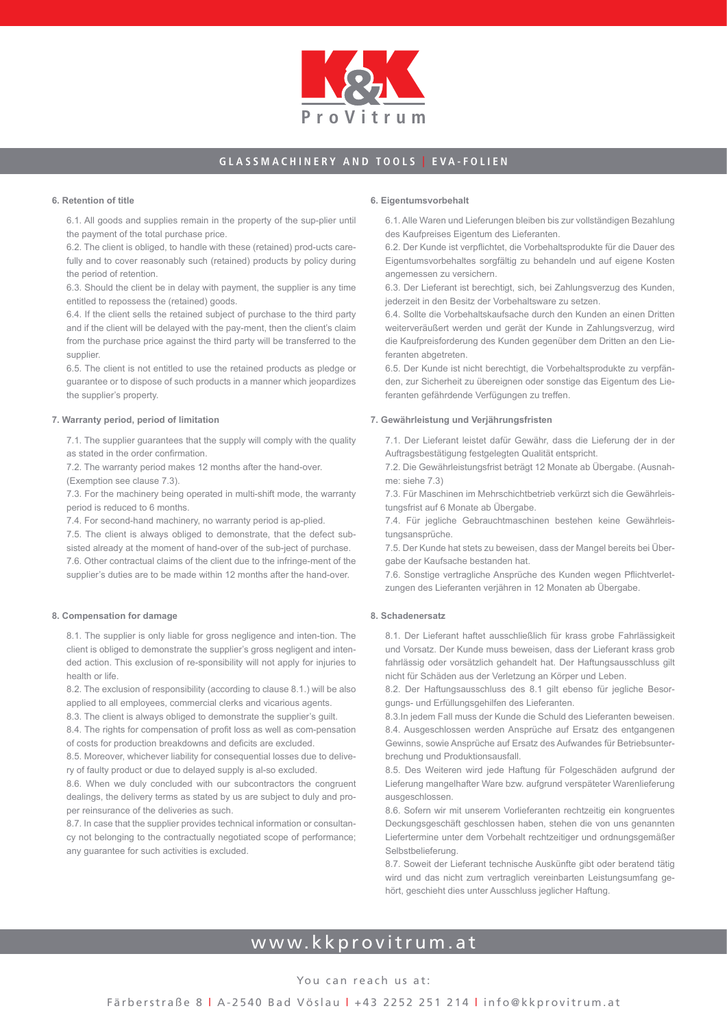

#### **6. Retention of title**

6.1. All goods and supplies remain in the property of the sup-plier until the payment of the total purchase price.

6.2. The client is obliged, to handle with these (retained) prod-ucts carefully and to cover reasonably such (retained) products by policy during the period of retention.

6.3. Should the client be in delay with payment, the supplier is any time entitled to repossess the (retained) goods.

6.4. If the client sells the retained subject of purchase to the third party and if the client will be delayed with the pay-ment, then the client's claim from the purchase price against the third party will be transferred to the supplier.

6.5. The client is not entitled to use the retained products as pledge or guarantee or to dispose of such products in a manner which jeopardizes the supplier's property.

#### **7. Warranty period, period of limitation**

7.1. The supplier guarantees that the supply will comply with the quality as stated in the order confirmation.

7.2. The warranty period makes 12 months after the hand-over.

(Exemption see clause 7.3).

7.3. For the machinery being operated in multi-shift mode, the warranty period is reduced to 6 months.

7.4. For second-hand machinery, no warranty period is ap-plied.

7.5. The client is always obliged to demonstrate, that the defect subsisted already at the moment of hand-over of the sub-ject of purchase.

7.6. Other contractual claims of the client due to the infringe-ment of the supplier's duties are to be made within 12 months after the hand-over.

#### **8. Compensation for damage**

8.1. The supplier is only liable for gross negligence and inten-tion. The client is obliged to demonstrate the supplier's gross negligent and intended action. This exclusion of re-sponsibility will not apply for injuries to health or life.

8.2. The exclusion of responsibility (according to clause 8.1.) will be also applied to all employees, commercial clerks and vicarious agents.

8.3. The client is always obliged to demonstrate the supplier's guilt.

8.4. The rights for compensation of profit loss as well as com-pensation of costs for production breakdowns and deficits are excluded.

8.5. Moreover, whichever liability for consequential losses due to delivery of faulty product or due to delayed supply is al-so excluded.

8.6. When we duly concluded with our subcontractors the congruent dealings, the delivery terms as stated by us are subject to duly and proper reinsurance of the deliveries as such.

8.7. In case that the supplier provides technical information or consultancy not belonging to the contractually negotiated scope of performance; any guarantee for such activities is excluded.

#### **6. Eigentumsvorbehalt**

6.1. Alle Waren und Lieferungen bleiben bis zur vollständigen Bezahlung des Kaufpreises Eigentum des Lieferanten.

6.2. Der Kunde ist verpflichtet, die Vorbehaltsprodukte für die Dauer des Eigentumsvorbehaltes sorgfältig zu behandeln und auf eigene Kosten angemessen zu versichern.

6.3. Der Lieferant ist berechtigt, sich, bei Zahlungsverzug des Kunden, jederzeit in den Besitz der Vorbehaltsware zu setzen.

6.4. Sollte die Vorbehaltskaufsache durch den Kunden an einen Dritten weiterveräußert werden und gerät der Kunde in Zahlungsverzug, wird die Kaufpreisforderung des Kunden gegenüber dem Dritten an den Lieferanten abgetreten.

6.5. Der Kunde ist nicht berechtigt, die Vorbehaltsprodukte zu verpfänden, zur Sicherheit zu übereignen oder sonstige das Eigentum des Lieferanten gefährdende Verfügungen zu treffen.

#### **7. Gewährleistung und Verjährungsfristen**

7.1. Der Lieferant leistet dafür Gewähr, dass die Lieferung der in der Auftragsbestätigung festgelegten Qualität entspricht.

7.2. Die Gewährleistungsfrist beträgt 12 Monate ab Übergabe. (Ausnahme: siehe 7.3)

7.3. Für Maschinen im Mehrschichtbetrieb verkürzt sich die Gewährleistungsfrist auf 6 Monate ab Übergabe.

7.4. Für jegliche Gebrauchtmaschinen bestehen keine Gewährleistungsansprüche.

7.5. Der Kunde hat stets zu beweisen, dass der Mangel bereits bei Übergabe der Kaufsache bestanden hat.

7.6. Sonstige vertragliche Ansprüche des Kunden wegen Pflichtverletzungen des Lieferanten verjähren in 12 Monaten ab Übergabe.

#### **8. Schadenersatz**

8.1. Der Lieferant haftet ausschließlich für krass grobe Fahrlässigkeit und Vorsatz. Der Kunde muss beweisen, dass der Lieferant krass grob fahrlässig oder vorsätzlich gehandelt hat. Der Haftungsausschluss gilt nicht für Schäden aus der Verletzung an Körper und Leben.

8.2. Der Haftungsausschluss des 8.1 gilt ebenso für jegliche Besorgungs- und Erfüllungsgehilfen des Lieferanten.

8.3.In jedem Fall muss der Kunde die Schuld des Lieferanten beweisen. 8.4. Ausgeschlossen werden Ansprüche auf Ersatz des entgangenen Gewinns, sowie Ansprüche auf Ersatz des Aufwandes für Betriebsunterbrechung und Produktionsausfall.

8.5. Des Weiteren wird jede Haftung für Folgeschäden aufgrund der Lieferung mangelhafter Ware bzw. aufgrund verspäteter Warenlieferung ausgeschlossen.

8.6. Sofern wir mit unserem Vorlieferanten rechtzeitig ein kongruentes Deckungsgeschäft geschlossen haben, stehen die von uns genannten Liefertermine unter dem Vorbehalt rechtzeitiger und ordnungsgemäßer Selbstbelieferung.

8.7. Soweit der Lieferant technische Auskünfte gibt oder beratend tätig wird und das nicht zum vertraglich vereinbarten Leistungsumfang gehört, geschieht dies unter Ausschluss jeglicher Haftung.

## www.kkprovitrum.at

#### You can reach us at: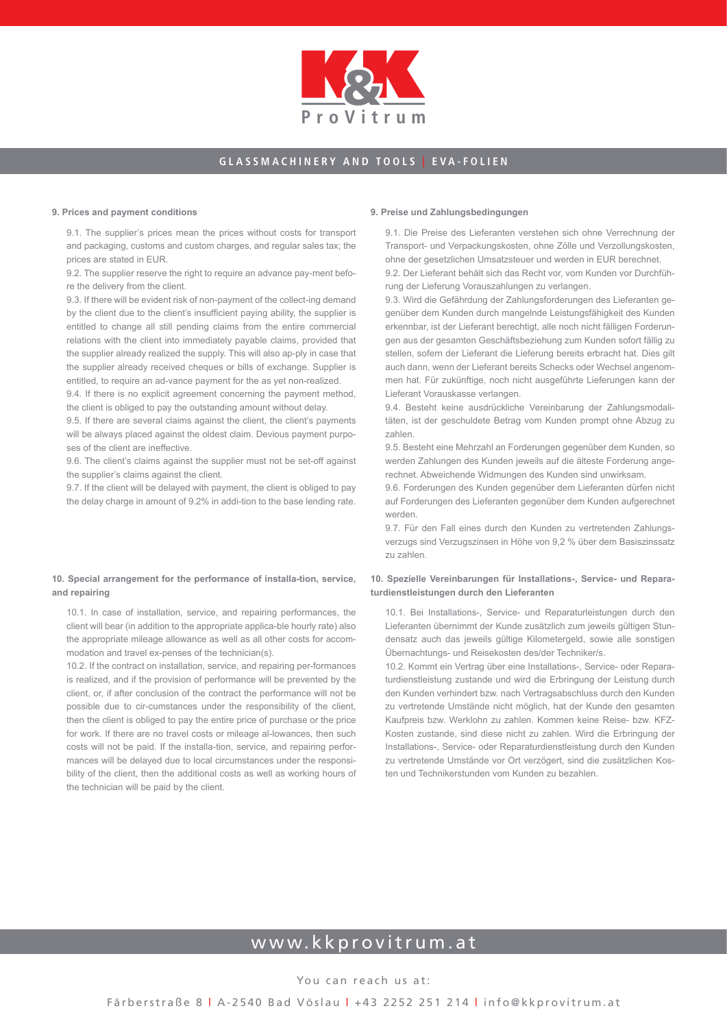

#### **9. Prices and payment conditions**

9.1. The supplier's prices mean the prices without costs for transport and packaging, customs and custom charges, and regular sales tax; the prices are stated in EUR.

9.2. The supplier reserve the right to require an advance pay-ment before the delivery from the client.

9.3. If there will be evident risk of non-payment of the collect-ing demand by the client due to the client's insufficient paying ability, the supplier is entitled to change all still pending claims from the entire commercial relations with the client into immediately payable claims, provided that the supplier already realized the supply. This will also ap-ply in case that the supplier already received cheques or bills of exchange. Supplier is entitled, to require an ad-vance payment for the as yet non-realized.

9.4. If there is no explicit agreement concerning the payment method, the client is obliged to pay the outstanding amount without delay.

9.5. If there are several claims against the client, the client's payments will be always placed against the oldest claim. Devious payment purposes of the client are ineffective.

9.6. The client's claims against the supplier must not be set-off against the supplier's claims against the client.

9.7. If the client will be delayed with payment, the client is obliged to pay the delay charge in amount of 9.2% in addi-tion to the base lending rate.

#### **10. Special arrangement for the performance of installa-tion, service, and repairing**

10.1. In case of installation, service, and repairing performances, the client will bear (in addition to the appropriate applica-ble hourly rate) also the appropriate mileage allowance as well as all other costs for accommodation and travel ex-penses of the technician(s).

10.2. If the contract on installation, service, and repairing per-formances is realized, and if the provision of performance will be prevented by the client, or, if after conclusion of the contract the performance will not be possible due to cir-cumstances under the responsibility of the client, then the client is obliged to pay the entire price of purchase or the price for work. If there are no travel costs or mileage al-lowances, then such costs will not be paid. If the installa-tion, service, and repairing performances will be delayed due to local circumstances under the responsibility of the client, then the additional costs as well as working hours of the technician will be paid by the client.

#### **9. Preise und Zahlungsbedingungen**

9.1. Die Preise des Lieferanten verstehen sich ohne Verrechnung der Transport- und Verpackungskosten, ohne Zölle und Verzollungskosten, ohne der gesetzlichen Umsatzsteuer und werden in EUR berechnet. 9.2. Der Lieferant behält sich das Recht vor, vom Kunden vor Durchfüh-

rung der Lieferung Vorauszahlungen zu verlangen. 9.3. Wird die Gefährdung der Zahlungsforderungen des Lieferanten gegenüber dem Kunden durch mangelnde Leistungsfähigkeit des Kunden erkennbar, ist der Lieferant berechtigt, alle noch nicht fälligen Forderungen aus der gesamten Geschäftsbeziehung zum Kunden sofort fällig zu stellen, sofern der Lieferant die Lieferung bereits erbracht hat. Dies gilt auch dann, wenn der Lieferant bereits Schecks oder Wechsel angenommen hat. Für zukünftige, noch nicht ausgeführte Lieferungen kann der Lieferant Vorauskasse verlangen.

9.4. Besteht keine ausdrückliche Vereinbarung der Zahlungsmodalitäten, ist der geschuldete Betrag vom Kunden prompt ohne Abzug zu zahlen.

9.5. Besteht eine Mehrzahl an Forderungen gegenüber dem Kunden, so werden Zahlungen des Kunden jeweils auf die älteste Forderung angerechnet. Abweichende Widmungen des Kunden sind unwirksam.

9.6. Forderungen des Kunden gegenüber dem Lieferanten dürfen nicht auf Forderungen des Lieferanten gegenüber dem Kunden aufgerechnet werden.

9.7. Für den Fall eines durch den Kunden zu vertretenden Zahlungsverzugs sind Verzugszinsen in Höhe von 9,2 % über dem Basiszinssatz zu zahlen.

#### **10. Spezielle Vereinbarungen für Installations-, Service- und Reparaturdienstleistungen durch den Lieferanten**

10.1. Bei Installations-, Service- und Reparaturleistungen durch den Lieferanten übernimmt der Kunde zusätzlich zum jeweils gültigen Stundensatz auch das jeweils gültige Kilometergeld, sowie alle sonstigen Übernachtungs- und Reisekosten des/der Techniker/s.

10.2. Kommt ein Vertrag über eine Installations-, Service- oder Reparaturdienstleistung zustande und wird die Erbringung der Leistung durch den Kunden verhindert bzw. nach Vertragsabschluss durch den Kunden zu vertretende Umstände nicht möglich, hat der Kunde den gesamten Kaufpreis bzw. Werklohn zu zahlen. Kommen keine Reise- bzw. KFZ-Kosten zustande, sind diese nicht zu zahlen. Wird die Erbringung der Installations-, Service- oder Reparaturdienstleistung durch den Kunden zu vertretende Umstände vor Ort verzögert, sind die zusätzlichen Kosten und Technikerstunden vom Kunden zu bezahlen.

# www.kkprovitrum.at

You can reach us at:

Färberstraße 8 | A-2540 Bad Vöslau | +43 2252 251 214 | info@kkprovitrum.at